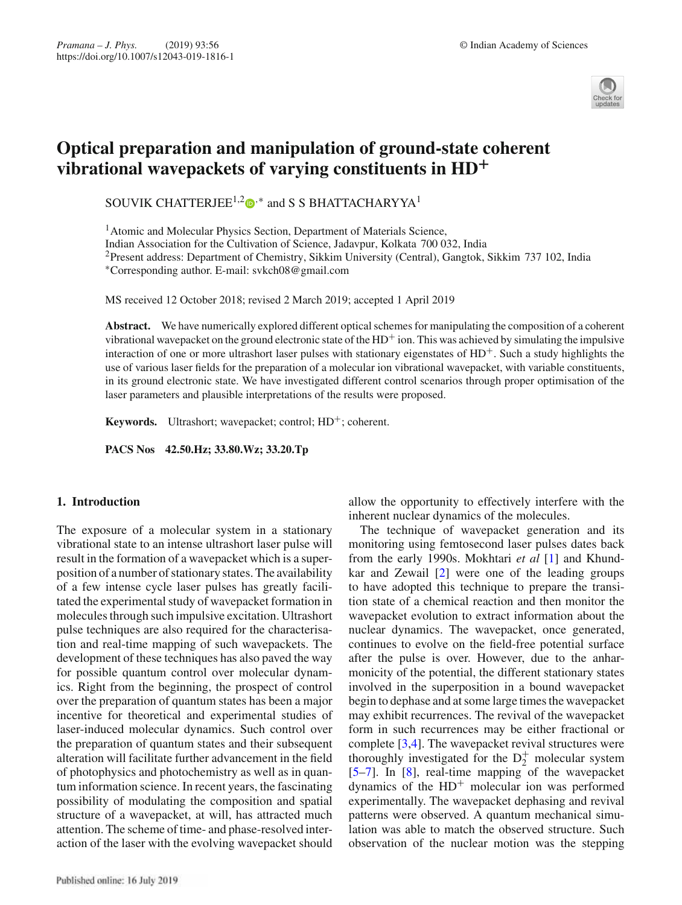

# **Optical preparation and manipulation of ground-state coherent vibrational wavepackets of varying constituents in HD+**

SOUVIK CHATTERJEE<sup>1,2</sup> $\bullet$ <sup>\*</sup> and S S BHATTACHARYYA<sup>1</sup>

<sup>1</sup> Atomic and Molecular Physics Section, Department of Materials Science, Indian Association for the Cultivation of Science, Jadavpur, Kolkata 700 032, India 2Present address: Department of Chemistry, Sikkim University (Central), Gangtok, Sikkim 737 102, India ∗Corresponding author. E-mail: svkch08@gmail.com

MS received 12 October 2018; revised 2 March 2019; accepted 1 April 2019

**Abstract.** We have numerically explored different optical schemes for manipulating the composition of a coherent vibrational wavepacket on the ground electronic state of the  $HD<sup>+</sup>$  ion. This was achieved by simulating the impulsive interaction of one or more ultrashort laser pulses with stationary eigenstates of  $HD<sup>+</sup>$ . Such a study highlights the use of various laser fields for the preparation of a molecular ion vibrational wavepacket, with variable constituents, in its ground electronic state. We have investigated different control scenarios through proper optimisation of the laser parameters and plausible interpretations of the results were proposed.

**Keywords.** Ultrashort; wavepacket; control;  $HD^+$ ; coherent.

**PACS Nos 42.50.Hz; 33.80.Wz; 33.20.Tp**

## **1. Introduction**

The exposure of a molecular system in a stationary vibrational state to an intense ultrashort laser pulse will result in the formation of a wavepacket which is a superposition of a number of stationary states. The availability of a few intense cycle laser pulses has greatly facilitated the experimental study of wavepacket formation in molecules through such impulsive excitation. Ultrashort pulse techniques are also required for the characterisation and real-time mapping of such wavepackets. The development of these techniques has also paved the way for possible quantum control over molecular dynamics. Right from the beginning, the prospect of control over the preparation of quantum states has been a major incentive for theoretical and experimental studies of laser-induced molecular dynamics. Such control over the preparation of quantum states and their subsequent alteration will facilitate further advancement in the field of photophysics and photochemistry as well as in quantum information science. In recent years, the fascinating possibility of modulating the composition and spatial structure of a wavepacket, at will, has attracted much attention. The scheme of time- and phase-resolved interaction of the laser with the evolving wavepacket should allow the opportunity to effectively interfere with the inherent nuclear dynamics of the molecules.

The technique of wavepacket generation and its monitoring using femtosecond laser pulses dates back from the early 1990s. Mokhtari *et al* [1] and Khundkar and Zewail [2] were one of the leading groups to have adopted this technique to prepare the transition state of a chemical reaction and then monitor the wavepacket evolution to extract information about the nuclear dynamics. The wavepacket, once generated, continues to evolve on the field-free potential surface after the pulse is over. However, due to the anharmonicity of the potential, the different stationary states involved in the superposition in a bound wavepacket begin to dephase and at some large times the wavepacket may exhibit recurrences. The revival of the wavepacket form in such recurrences may be either fractional or complete [3,4]. The wavepacket revival structures were thoroughly investigated for the  $D_2^+$  molecular system [5–7]. In [8], real-time mapping of the wavepacket dynamics of the  $HD^+$  molecular ion was performed experimentally. The wavepacket dephasing and revival patterns were observed. A quantum mechanical simulation was able to match the observed structure. Such observation of the nuclear motion was the stepping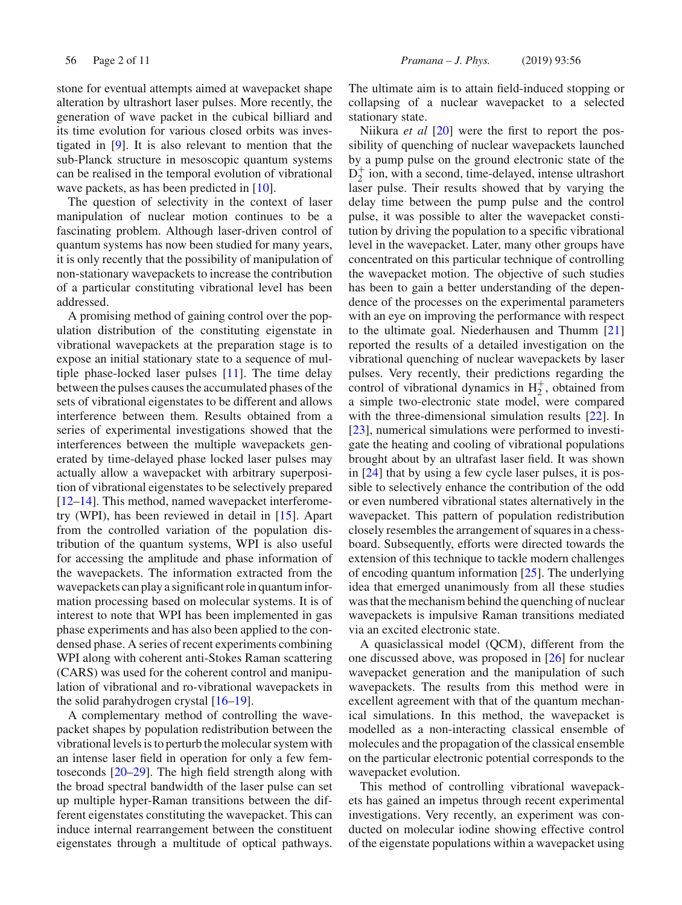stone for eventual attempts aimed at wavepacket shape alteration by ultrashort laser pulses. More recently, the generation of wave packet in the cubical billiard and its time evolution for various closed orbits was investigated in [9]. It is also relevant to mention that the sub-Planck structure in mesoscopic quantum systems can be realised in the temporal evolution of vibrational wave packets, as has been predicted in [10].

The question of selectivity in the context of laser manipulation of nuclear motion continues to be a fascinating problem. Although laser-driven control of quantum systems has now been studied for many years, it is only recently that the possibility of manipulation of non-stationary wavepackets to increase the contribution of a particular constituting vibrational level has been addressed.

A promising method of gaining control over the population distribution of the constituting eigenstate in vibrational wavepackets at the preparation stage is to expose an initial stationary state to a sequence of multiple phase-locked laser pulses [11]. The time delay between the pulses causes the accumulated phases of the sets of vibrational eigenstates to be different and allows interference between them. Results obtained from a series of experimental investigations showed that the interferences between the multiple wavepackets generated by time-delayed phase locked laser pulses may actually allow a wavepacket with arbitrary superposition of vibrational eigenstates to be selectively prepared [12–14]. This method, named wavepacket interferometry (WPI), has been reviewed in detail in [15]. Apart from the controlled variation of the population distribution of the quantum systems, WPI is also useful for accessing the amplitude and phase information of the wavepackets. The information extracted from the wavepackets can play a significant role in quantum information processing based on molecular systems. It is of interest to note that WPI has been implemented in gas phase experiments and has also been applied to the condensed phase. A series of recent experiments combining WPI along with coherent anti-Stokes Raman scattering (CARS) was used for the coherent control and manipulation of vibrational and ro-vibrational wavepackets in the solid parahydrogen crystal  $[16–19]$ .

A complementary method of controlling the wavepacket shapes by population redistribution between the vibrational levels is to perturb the molecular system with an intense laser field in operation for only a few femtoseconds [20–29]. The high field strength along with the broad spectral bandwidth of the laser pulse can set up multiple hyper-Raman transitions between the different eigenstates constituting the wavepacket. This can induce internal rearrangement between the constituent eigenstates through a multitude of optical pathways.

The ultimate aim is to attain field-induced stopping or collapsing of a nuclear wavepacket to a selected stationary state.

Niikura *et al* [20] were the first to report the possibility of quenching of nuclear wavepackets launched by a pump pulse on the ground electronic state of the  $D_2^+$  ion, with a second, time-delayed, intense ultrashort laser pulse. Their results showed that by varying the delay time between the pump pulse and the control pulse, it was possible to alter the wavepacket constitution by driving the population to a specific vibrational level in the wavepacket. Later, many other groups have concentrated on this particular technique of controlling the wavepacket motion. The objective of such studies has been to gain a better understanding of the dependence of the processes on the experimental parameters with an eye on improving the performance with respect to the ultimate goal. Niederhausen and Thumm [21] reported the results of a detailed investigation on the vibrational quenching of nuclear wavepackets by laser pulses. Very recently, their predictions regarding the control of vibrational dynamics in  $H_2^+$ , obtained from a simple two-electronic state model, were compared with the three-dimensional simulation results [22]. In [23], numerical simulations were performed to investigate the heating and cooling of vibrational populations brought about by an ultrafast laser field. It was shown in [24] that by using a few cycle laser pulses, it is possible to selectively enhance the contribution of the odd or even numbered vibrational states alternatively in the wavepacket. This pattern of population redistribution closely resembles the arrangement of squares in a chessboard. Subsequently, efforts were directed towards the extension of this technique to tackle modern challenges of encoding quantum information [25]. The underlying idea that emerged unanimously from all these studies was that the mechanism behind the quenching of nuclear wavepackets is impulsive Raman transitions mediated via an excited electronic state.

A quasiclassical model (QCM), different from the one discussed above, was proposed in [26] for nuclear wavepacket generation and the manipulation of such wavepackets. The results from this method were in excellent agreement with that of the quantum mechanical simulations. In this method, the wavepacket is modelled as a non-interacting classical ensemble of molecules and the propagation of the classical ensemble on the particular electronic potential corresponds to the wavepacket evolution.

This method of controlling vibrational wavepackets has gained an impetus through recent experimental investigations. Very recently, an experiment was conducted on molecular iodine showing effective control of the eigenstate populations within a wavepacket using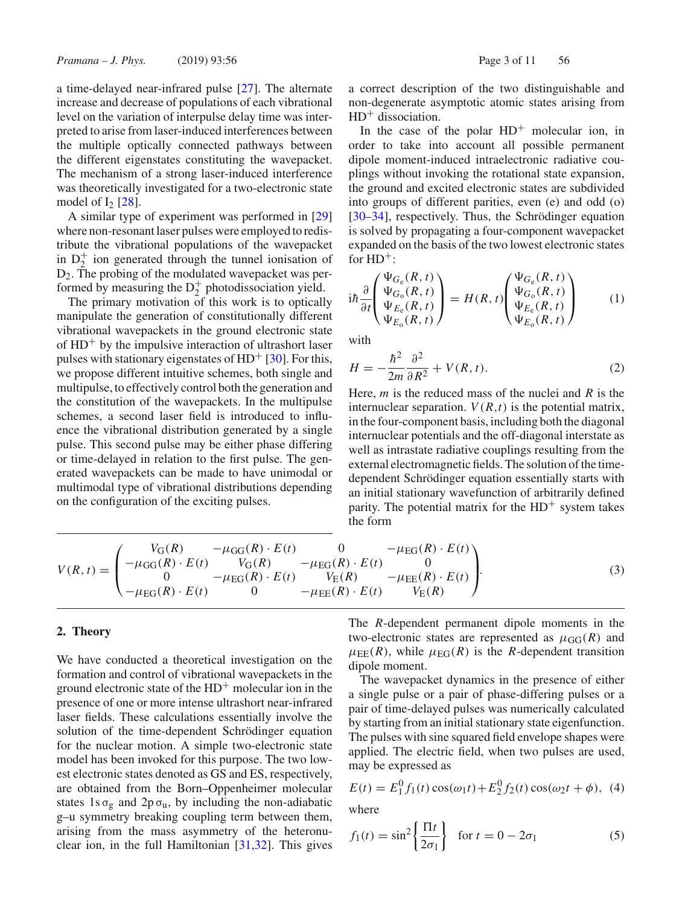a time-delayed near-infrared pulse [27]. The alternate increase and decrease of populations of each vibrational level on the variation of interpulse delay time was interpreted to arise from laser-induced interferences between the multiple optically connected pathways between the different eigenstates constituting the wavepacket. The mechanism of a strong laser-induced interference was theoretically investigated for a two-electronic state model of  $I_2$  [28].

A similar type of experiment was performed in [29] where non-resonant laser pulses were employed to redistribute the vibrational populations of the wavepacket in  $D_2^+$  ion generated through the tunnel ionisation of D2. The probing of the modulated wavepacket was performed by measuring the  $D_2^+$  photodissociation yield.

The primary motivation of this work is to optically manipulate the generation of constitutionally different vibrational wavepackets in the ground electronic state of  $HD<sup>+</sup>$  by the impulsive interaction of ultrashort laser pulses with stationary eigenstates of  $HD<sup>+</sup>$  [30]. For this, we propose different intuitive schemes, both single and multipulse, to effectively control both the generation and the constitution of the wavepackets. In the multipulse schemes, a second laser field is introduced to influence the vibrational distribution generated by a single pulse. This second pulse may be either phase differing or time-delayed in relation to the first pulse. The generated wavepackets can be made to have unimodal or multimodal type of vibrational distributions depending on the configuration of the exciting pulses.

a correct description of the two distinguishable and non-degenerate asymptotic atomic states arising from  $HD^+$  dissociation.

In the case of the polar  $HD^+$  molecular ion, in order to take into account all possible permanent dipole moment-induced intraelectronic radiative couplings without invoking the rotational state expansion, the ground and excited electronic states are subdivided into groups of different parities, even (e) and odd (o) [30–34], respectively. Thus, the Schrödinger equation is solved by propagating a four-component wavepacket expanded on the basis of the two lowest electronic states for  $HD^+$ :

$$
i\hbar \frac{\partial}{\partial t} \begin{pmatrix} \Psi_{G_e}(R, t) \\ \Psi_{G_o}(R, t) \\ \Psi_{E_e}(R, t) \\ \Psi_{E_o}(R, t) \end{pmatrix} = H(R, t) \begin{pmatrix} \Psi_{G_e}(R, t) \\ \Psi_{G_o}(R, t) \\ \Psi_{E_e}(R, t) \\ \Psi_{E_o}(R, t) \end{pmatrix}
$$
 (1)

with

$$
H = -\frac{\hbar^2}{2m} \frac{\partial^2}{\partial R^2} + V(R, t). \tag{2}
$$

Here, *m* is the reduced mass of the nuclei and *R* is the internuclear separation.  $V(R,t)$  is the potential matrix, in the four-component basis, including both the diagonal internuclear potentials and the off-diagonal interstate as well as intrastate radiative couplings resulting from the external electromagnetic fields. The solution of the timedependent Schrödinger equation essentially starts with an initial stationary wavefunction of arbitrarily defined parity. The potential matrix for the  $HD^+$  system takes the form

$$
V(R, t) = \begin{pmatrix} V_G(R) & -\mu_{GG}(R) \cdot E(t) & 0 & -\mu_{EG}(R) \cdot E(t) \\ -\mu_{GG}(R) \cdot E(t) & V_G(R) & -\mu_{EG}(R) \cdot E(t) & 0 \\ 0 & -\mu_{EG}(R) \cdot E(t) & V_E(R) & -\mu_{EE}(R) \cdot E(t) \\ -\mu_{EG}(R) \cdot E(t) & 0 & -\mu_{EE}(R) \cdot E(t) & V_E(R) \end{pmatrix}.
$$
(3)

## **2. Theory**

We have conducted a theoretical investigation on the formation and control of vibrational wavepackets in the ground electronic state of the  $HD<sup>+</sup>$  molecular ion in the presence of one or more intense ultrashort near-infrared laser fields. These calculations essentially involve the solution of the time-dependent Schrödinger equation for the nuclear motion. A simple two-electronic state model has been invoked for this purpose. The two lowest electronic states denoted as GS and ES, respectively, are obtained from the Born–Oppenheimer molecular states 1s  $\sigma_{\rm g}$  and 2p  $\sigma_{\rm u}$ , by including the non-adiabatic g–u symmetry breaking coupling term between them, arising from the mass asymmetry of the heteronuclear ion, in the full Hamiltonian [31,32]. This gives The *R*-dependent permanent dipole moments in the two-electronic states are represented as  $\mu_{GG}(R)$  and  $\mu_{EE}(R)$ , while  $\mu_{EG}(R)$  is the *R*-dependent transition dipole moment.

The wavepacket dynamics in the presence of either a single pulse or a pair of phase-differing pulses or a pair of time-delayed pulses was numerically calculated by starting from an initial stationary state eigenfunction. The pulses with sine squared field envelope shapes were applied. The electric field, when two pulses are used, may be expressed as

$$
E(t) = E_1^0 f_1(t) \cos(\omega_1 t) + E_2^0 f_2(t) \cos(\omega_2 t + \phi), \tag{4}
$$

where

$$
f_1(t) = \sin^2\left\{\frac{\Pi t}{2\sigma_1}\right\} \quad \text{for } t = 0 - 2\sigma_1 \tag{5}
$$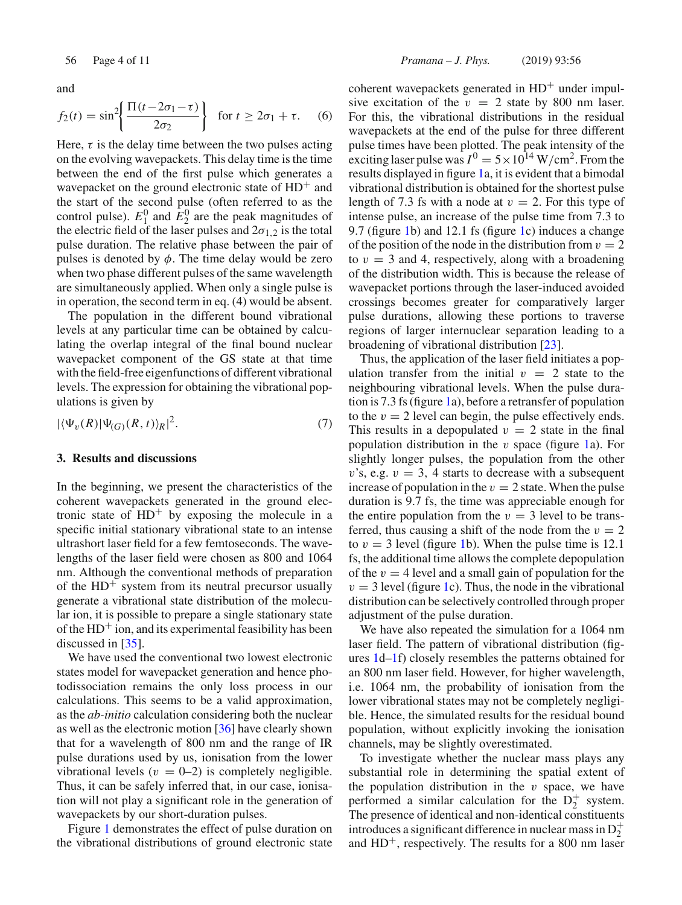and

$$
f_2(t) = \sin^2\left\{\frac{\Pi(t - 2\sigma_1 - \tau)}{2\sigma_2}\right\} \text{ for } t \ge 2\sigma_1 + \tau. \quad (6)
$$

Here,  $\tau$  is the delay time between the two pulses acting on the evolving wavepackets. This delay time is the time between the end of the first pulse which generates a wavepacket on the ground electronic state of  $HD^+$  and the start of the second pulse (often referred to as the control pulse).  $E_1^0$  and  $E_2^0$  are the peak magnitudes of the electric field of the laser pulses and  $2\sigma_{1,2}$  is the total pulse duration. The relative phase between the pair of pulses is denoted by  $\phi$ . The time delay would be zero when two phase different pulses of the same wavelength are simultaneously applied. When only a single pulse is in operation, the second term in eq. (4) would be absent.

The population in the different bound vibrational levels at any particular time can be obtained by calculating the overlap integral of the final bound nuclear wavepacket component of the GS state at that time with the field-free eigenfunctions of different vibrational levels. The expression for obtaining the vibrational populations is given by

$$
|\langle \Psi_v(R) | \Psi_{(G)}(R,t) \rangle_R|^2. \tag{7}
$$

#### **3. Results and discussions**

In the beginning, we present the characteristics of the coherent wavepackets generated in the ground electronic state of  $HD^+$  by exposing the molecule in a specific initial stationary vibrational state to an intense ultrashort laser field for a few femtoseconds. The wavelengths of the laser field were chosen as 800 and 1064 nm. Although the conventional methods of preparation of the  $HD^+$  system from its neutral precursor usually generate a vibrational state distribution of the molecular ion, it is possible to prepare a single stationary state of the  $HD^+$  ion, and its experimental feasibility has been discussed in [35].

We have used the conventional two lowest electronic states model for wavepacket generation and hence photodissociation remains the only loss process in our calculations. This seems to be a valid approximation, as the *ab-initio* calculation considering both the nuclear as well as the electronic motion [36] have clearly shown that for a wavelength of 800 nm and the range of IR pulse durations used by us, ionisation from the lower vibrational levels ( $v = 0-2$ ) is completely negligible. Thus, it can be safely inferred that, in our case, ionisation will not play a significant role in the generation of wavepackets by our short-duration pulses.

Figure 1 demonstrates the effect of pulse duration on the vibrational distributions of ground electronic state

coherent wavepackets generated in  $HD^+$  under impulsive excitation of the  $v = 2$  state by 800 nm laser. For this, the vibrational distributions in the residual wavepackets at the end of the pulse for three different pulse times have been plotted. The peak intensity of the exciting laser pulse was  $I^0 = 5 \times 10^{14} \,\mathrm{W/cm^2}$ . From the results displayed in figure 1a, it is evident that a bimodal vibrational distribution is obtained for the shortest pulse length of 7.3 fs with a node at  $v = 2$ . For this type of intense pulse, an increase of the pulse time from 7.3 to 9.7 (figure 1b) and 12.1 fs (figure 1c) induces a change of the position of the node in the distribution from  $v = 2$ to  $v = 3$  and 4, respectively, along with a broadening of the distribution width. This is because the release of wavepacket portions through the laser-induced avoided crossings becomes greater for comparatively larger pulse durations, allowing these portions to traverse regions of larger internuclear separation leading to a broadening of vibrational distribution [23].

Thus, the application of the laser field initiates a population transfer from the initial  $v = 2$  state to the neighbouring vibrational levels. When the pulse duration is 7.3 fs (figure 1a), before a retransfer of population to the  $v = 2$  level can begin, the pulse effectively ends. This results in a depopulated  $v = 2$  state in the final population distribution in the  $v$  space (figure 1a). For slightly longer pulses, the population from the other  $v$ 's, e.g.  $v = 3$ , 4 starts to decrease with a subsequent increase of population in the  $v = 2$  state. When the pulse duration is 9.7 fs, the time was appreciable enough for the entire population from the  $v = 3$  level to be transferred, thus causing a shift of the node from the  $v = 2$ to  $v = 3$  level (figure 1b). When the pulse time is 12.1 fs, the additional time allows the complete depopulation of the  $v = 4$  level and a small gain of population for the  $v = 3$  level (figure 1c). Thus, the node in the vibrational distribution can be selectively controlled through proper adjustment of the pulse duration.

We have also repeated the simulation for a 1064 nm laser field. The pattern of vibrational distribution (figures 1d–1f) closely resembles the patterns obtained for an 800 nm laser field. However, for higher wavelength, i.e. 1064 nm, the probability of ionisation from the lower vibrational states may not be completely negligible. Hence, the simulated results for the residual bound population, without explicitly invoking the ionisation channels, may be slightly overestimated.

To investigate whether the nuclear mass plays any substantial role in determining the spatial extent of the population distribution in the  $v$  space, we have performed a similar calculation for the  $D_2^+$  system. The presence of identical and non-identical constituents introduces a significant difference in nuclear mass in  $D_2^+$ and  $HD^+$ , respectively. The results for a 800 nm laser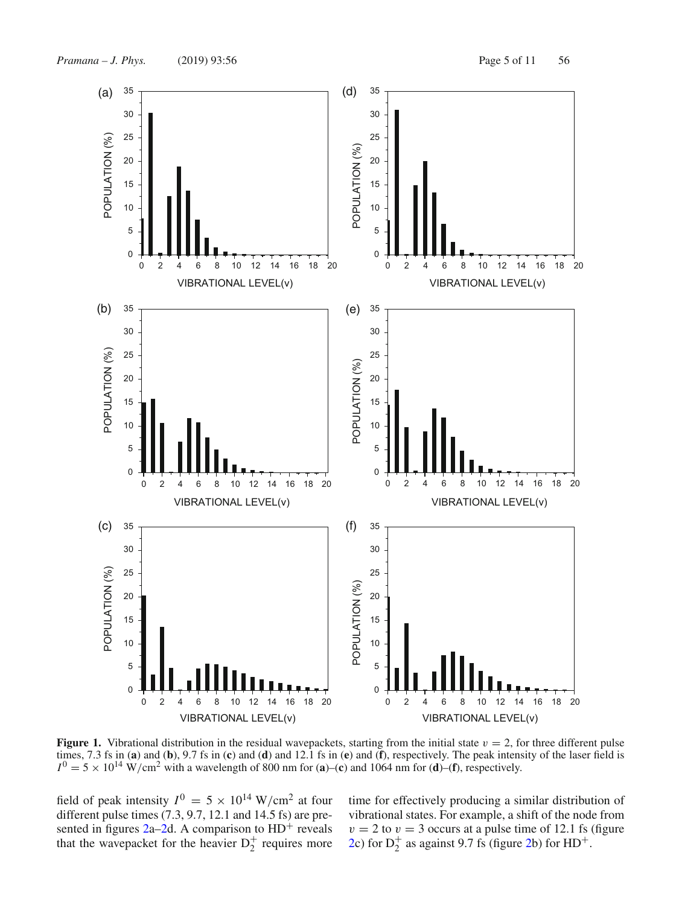

**Figure 1.** Vibrational distribution in the residual wavepackets, starting from the initial state  $v = 2$ , for three different pulse times, 7.3 fs in (**a**) and (**b**), 9.7 fs in (**c**) and (**d**) and 12.1 fs in (**e**) and (**f**), respectively. The peak intensity of the laser field is  $I^0 = 5 \times 10^{14}$  W/cm<sup>2</sup> with a wavelength of 800 nm for (**a**)–(**c**) and 1064 nm for (**d**)–(**f**), respectively.

field of peak intensity  $I^0 = 5 \times 10^{14}$  W/cm<sup>2</sup> at four different pulse times (7.3, 9.7, 12.1 and 14.5 fs) are presented in figures  $2a-2d$ . A comparison to  $HD^+$  reveals that the wavepacket for the heavier  $D_2^+$  requires more

time for effectively producing a similar distribution of vibrational states. For example, a shift of the node from  $v = 2$  to  $v = 3$  occurs at a pulse time of 12.1 fs (figure 2c) for  $D_2^+$  as against 9.7 fs (figure 2b) for  $HD^+$ .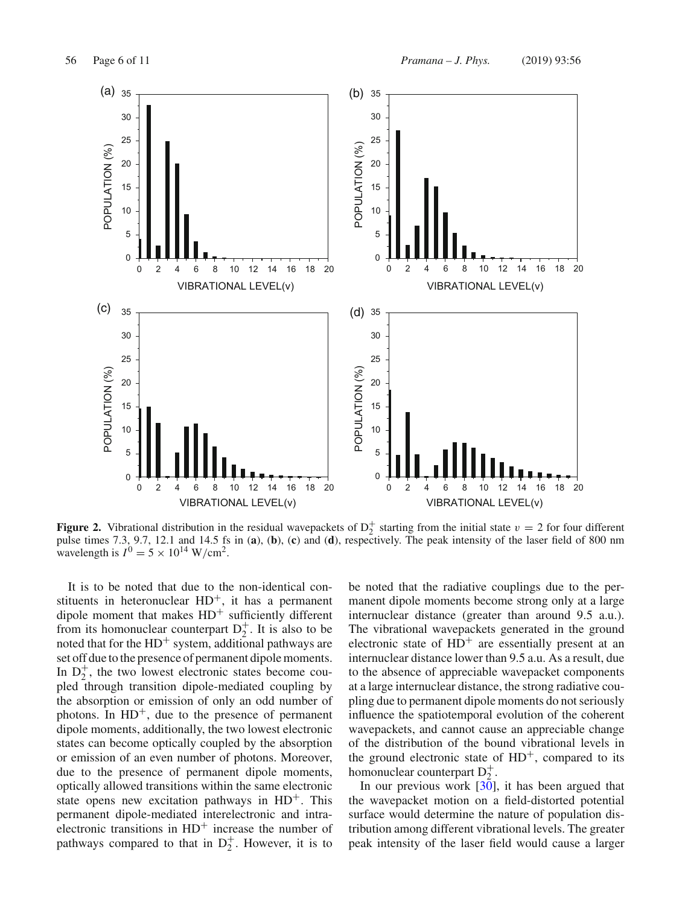

**Figure 2.** Vibrational distribution in the residual wavepackets of  $D_2^+$  starting from the initial state  $v = 2$  for four different pulse times 7.3, 9.7, 12.1 and 14.5 fs in (**a**), (**b**), (**c**) and (**d**), respectively. The peak intensity of the laser field of 800 nm wavelength is  $I^0 = 5 \times 10^{14}$  W/cm<sup>2</sup>.

It is to be noted that due to the non-identical constituents in heteronuclear  $HD^+$ , it has a permanent dipole moment that makes  $HD^+$  sufficiently different from its homonuclear counterpart  $D_2^+$ . It is also to be noted that for the  $HD^+$  system, additional pathways are set off due to the presence of permanent dipole moments. In  $D_2^+$ , the two lowest electronic states become coupled through transition dipole-mediated coupling by the absorption or emission of only an odd number of photons. In  $HD^+$ , due to the presence of permanent dipole moments, additionally, the two lowest electronic states can become optically coupled by the absorption or emission of an even number of photons. Moreover, due to the presence of permanent dipole moments, optically allowed transitions within the same electronic state opens new excitation pathways in  $HD^+$ . This permanent dipole-mediated interelectronic and intraelectronic transitions in  $HD^+$  increase the number of pathways compared to that in  $D_2^+$ . However, it is to

be noted that the radiative couplings due to the permanent dipole moments become strong only at a large internuclear distance (greater than around 9.5 a.u.). The vibrational wavepackets generated in the ground electronic state of  $HD^+$  are essentially present at an internuclear distance lower than 9.5 a.u. As a result, due to the absence of appreciable wavepacket components at a large internuclear distance, the strong radiative coupling due to permanent dipole moments do not seriously influence the spatiotemporal evolution of the coherent wavepackets, and cannot cause an appreciable change of the distribution of the bound vibrational levels in the ground electronic state of  $HD^+$ , compared to its homonuclear counterpart  $D_2^+$ .

In our previous work [30], it has been argued that the wavepacket motion on a field-distorted potential surface would determine the nature of population distribution among different vibrational levels. The greater peak intensity of the laser field would cause a larger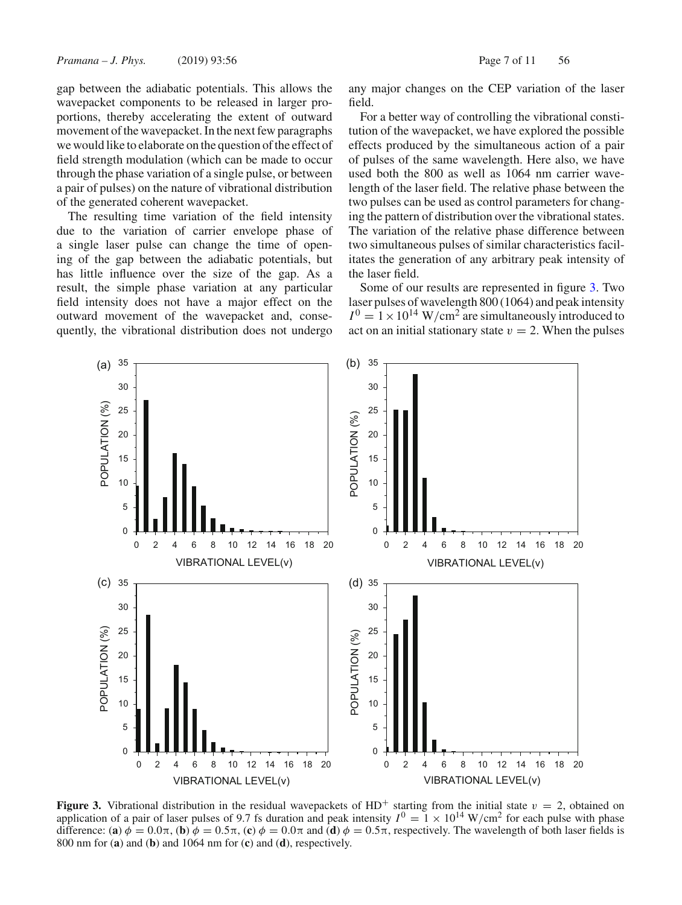gap between the adiabatic potentials. This allows the wavepacket components to be released in larger proportions, thereby accelerating the extent of outward movement of the wavepacket. In the next few paragraphs we would like to elaborate on the question of the effect of field strength modulation (which can be made to occur through the phase variation of a single pulse, or between a pair of pulses) on the nature of vibrational distribution of the generated coherent wavepacket.

The resulting time variation of the field intensity due to the variation of carrier envelope phase of a single laser pulse can change the time of opening of the gap between the adiabatic potentials, but has little influence over the size of the gap. As a result, the simple phase variation at any particular field intensity does not have a major effect on the outward movement of the wavepacket and, consequently, the vibrational distribution does not undergo any major changes on the CEP variation of the laser field.

For a better way of controlling the vibrational constitution of the wavepacket, we have explored the possible effects produced by the simultaneous action of a pair of pulses of the same wavelength. Here also, we have used both the 800 as well as 1064 nm carrier wavelength of the laser field. The relative phase between the two pulses can be used as control parameters for changing the pattern of distribution over the vibrational states. The variation of the relative phase difference between two simultaneous pulses of similar characteristics facilitates the generation of any arbitrary peak intensity of the laser field.

Some of our results are represented in figure 3. Two laser pulses of wavelength 800 (1064) and peak intensity  $I^{0} = 1 \times 10^{14}$  W/cm<sup>2</sup> are simultaneously introduced to act on an initial stationary state  $v = 2$ . When the pulses



**Figure 3.** Vibrational distribution in the residual wavepackets of HD<sup>+</sup> starting from the initial state  $v = 2$ , obtained on application of a pair of laser pulses of 9.7 fs duration and peak intensity  $I^0 = 1 \times 10^{14}$  W/cm<sup>2</sup> for each pulse with phase difference: (**a**)  $\phi = 0.0\pi$ , (**b**)  $\phi = 0.5\pi$ , (**c**)  $\phi = 0.0\pi$  and (**d**)  $\phi = 0.5\pi$ , respectively. The wavelength of both laser fields is 800 nm for (**a**) and (**b**) and 1064 nm for (**c**) and (**d**), respectively.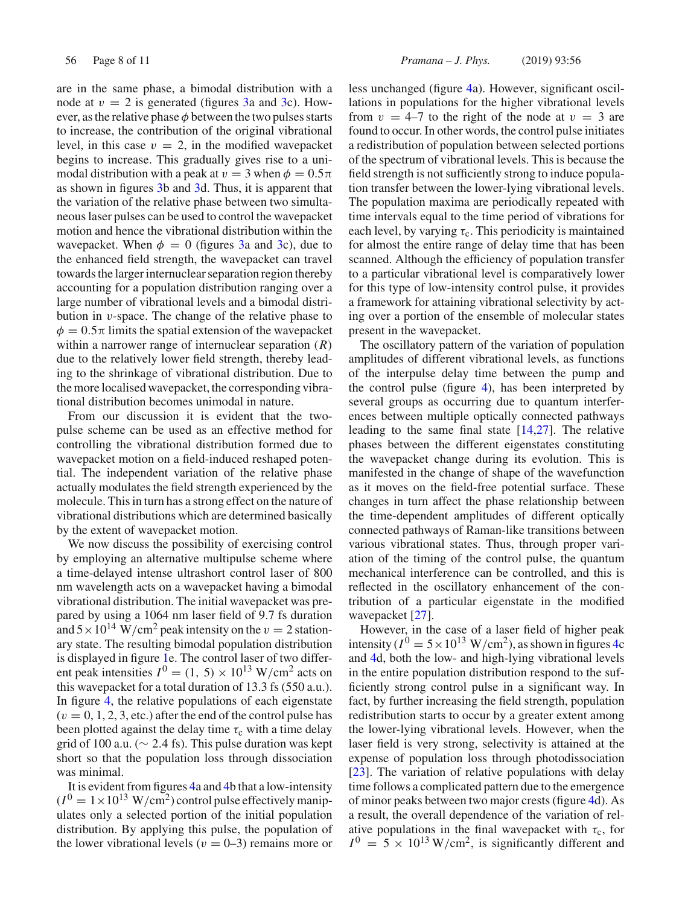are in the same phase, a bimodal distribution with a node at  $v = 2$  is generated (figures 3a and 3c). However, as the relative phase  $\phi$  between the two pulses starts to increase, the contribution of the original vibrational level, in this case  $v = 2$ , in the modified wavepacket begins to increase. This gradually gives rise to a unimodal distribution with a peak at  $v = 3$  when  $\phi = 0.5\pi$ as shown in figures 3b and 3d. Thus, it is apparent that the variation of the relative phase between two simultaneous laser pulses can be used to control the wavepacket motion and hence the vibrational distribution within the wavepacket. When  $\phi = 0$  (figures 3a and 3c), due to the enhanced field strength, the wavepacket can travel towards the larger internuclear separation region thereby accounting for a population distribution ranging over a large number of vibrational levels and a bimodal distribution in  $v$ -space. The change of the relative phase to  $\phi = 0.5\pi$  limits the spatial extension of the wavepacket within a narrower range of internuclear separation (*R*) due to the relatively lower field strength, thereby leading to the shrinkage of vibrational distribution. Due to the more localised wavepacket, the corresponding vibrational distribution becomes unimodal in nature.

From our discussion it is evident that the twopulse scheme can be used as an effective method for controlling the vibrational distribution formed due to wavepacket motion on a field-induced reshaped potential. The independent variation of the relative phase actually modulates the field strength experienced by the molecule. This in turn has a strong effect on the nature of vibrational distributions which are determined basically by the extent of wavepacket motion.

We now discuss the possibility of exercising control by employing an alternative multipulse scheme where a time-delayed intense ultrashort control laser of 800 nm wavelength acts on a wavepacket having a bimodal vibrational distribution. The initial wavepacket was prepared by using a 1064 nm laser field of 9.7 fs duration and  $5 \times 10^{14}$  W/cm<sup>2</sup> peak intensity on the  $v = 2$  stationary state. The resulting bimodal population distribution is displayed in figure 1e. The control laser of two different peak intensities  $I^0 = (1, 5) \times 10^{13}$  W/cm<sup>2</sup> acts on this wavepacket for a total duration of 13.3 fs (550 a.u.). In figure 4, the relative populations of each eigenstate  $(v = 0, 1, 2, 3,$  etc.) after the end of the control pulse has been plotted against the delay time  $\tau_c$  with a time delay grid of 100 a.u. ( $\sim$  2.4 fs). This pulse duration was kept short so that the population loss through dissociation was minimal.

It is evident from figures 4a and 4b that a low-intensity  $(I^0 = 1 \times 10^{13} \text{ W/cm}^2)$  control pulse effectively manipulates only a selected portion of the initial population distribution. By applying this pulse, the population of the lower vibrational levels ( $v = 0$ –3) remains more or less unchanged (figure 4a). However, significant oscillations in populations for the higher vibrational levels from  $v = 4-7$  to the right of the node at  $v = 3$  are found to occur. In other words, the control pulse initiates a redistribution of population between selected portions of the spectrum of vibrational levels. This is because the field strength is not sufficiently strong to induce population transfer between the lower-lying vibrational levels. The population maxima are periodically repeated with time intervals equal to the time period of vibrations for each level, by varying  $\tau_c$ . This periodicity is maintained for almost the entire range of delay time that has been scanned. Although the efficiency of population transfer to a particular vibrational level is comparatively lower for this type of low-intensity control pulse, it provides a framework for attaining vibrational selectivity by acting over a portion of the ensemble of molecular states present in the wavepacket.

The oscillatory pattern of the variation of population amplitudes of different vibrational levels, as functions of the interpulse delay time between the pump and the control pulse (figure 4), has been interpreted by several groups as occurring due to quantum interferences between multiple optically connected pathways leading to the same final state  $[14,27]$ . The relative phases between the different eigenstates constituting the wavepacket change during its evolution. This is manifested in the change of shape of the wavefunction as it moves on the field-free potential surface. These changes in turn affect the phase relationship between the time-dependent amplitudes of different optically connected pathways of Raman-like transitions between various vibrational states. Thus, through proper variation of the timing of the control pulse, the quantum mechanical interference can be controlled, and this is reflected in the oscillatory enhancement of the contribution of a particular eigenstate in the modified wavepacket [27].

However, in the case of a laser field of higher peak intensity ( $I^0 = 5 \times 10^{13}$  W/cm<sup>2</sup>), as shown in figures 4c and 4d, both the low- and high-lying vibrational levels in the entire population distribution respond to the sufficiently strong control pulse in a significant way. In fact, by further increasing the field strength, population redistribution starts to occur by a greater extent among the lower-lying vibrational levels. However, when the laser field is very strong, selectivity is attained at the expense of population loss through photodissociation [23]. The variation of relative populations with delay time follows a complicated pattern due to the emergence of minor peaks between two major crests (figure 4d). As a result, the overall dependence of the variation of relative populations in the final wavepacket with  $\tau_c$ , for  $I^0 = 5 \times 10^{13}$  W/cm<sup>2</sup>, is significantly different and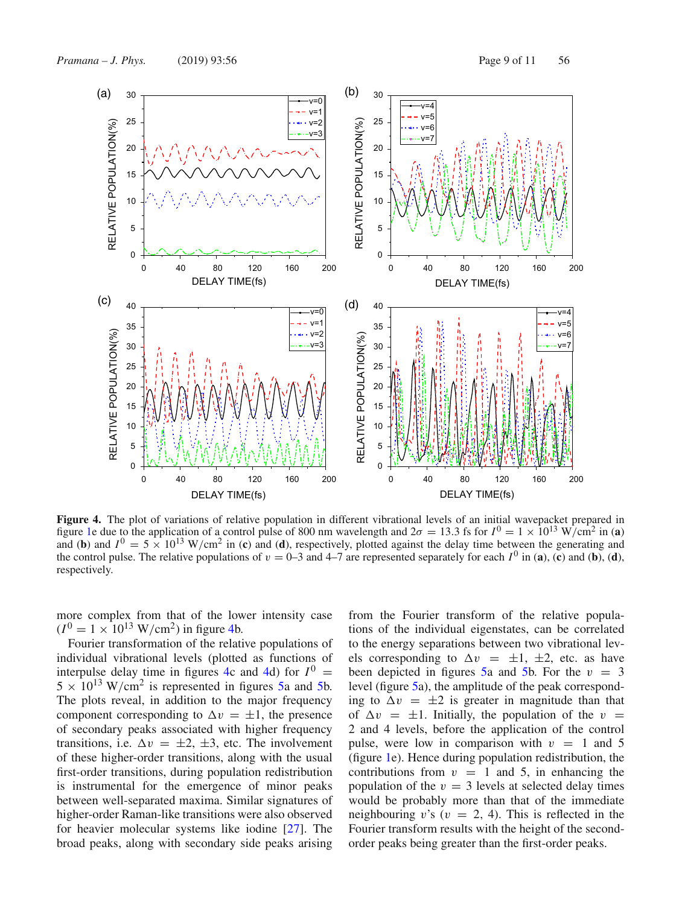

**Figure 4.** The plot of variations of relative population in different vibrational levels of an initial wavepacket prepared in figure 1e due to the application of a control pulse of 800 nm wavelength and  $2\sigma = 13.3$  fs for  $I^0 = 1 \times 10^{13}$  W/cm<sup>2</sup> in (a) and (**b**) and  $I^0 = 5 \times 10^{13}$  W/cm<sup>2</sup> in (**c**) and (**d**), respectively, plotted against the delay time between the generating and the control pulse. The relative populations of  $v = 0$ –3 and 4–7 are represented separately for each  $I^0$  in (a), (c) and (b), (d), respectively.

more complex from that of the lower intensity case  $(I^0 = 1 \times 10^{13} \text{ W/cm}^2)$  in figure 4b.

Fourier transformation of the relative populations of individual vibrational levels (plotted as functions of interpulse delay time in figures 4c and 4d) for  $I^0$  =  $5 \times 10^{13}$  W/cm<sup>2</sup> is represented in figures 5a and 5b. The plots reveal, in addition to the major frequency component corresponding to  $\Delta v = \pm 1$ , the presence of secondary peaks associated with higher frequency transitions, i.e.  $\Delta v = \pm 2, \pm 3$ , etc. The involvement of these higher-order transitions, along with the usual first-order transitions, during population redistribution is instrumental for the emergence of minor peaks between well-separated maxima. Similar signatures of higher-order Raman-like transitions were also observed for heavier molecular systems like iodine [27]. The broad peaks, along with secondary side peaks arising

from the Fourier transform of the relative populations of the individual eigenstates, can be correlated to the energy separations between two vibrational levels corresponding to  $\Delta v = \pm 1, \pm 2$ , etc. as have been depicted in figures 5a and 5b. For the  $v = 3$ level (figure 5a), the amplitude of the peak corresponding to  $\Delta v = \pm 2$  is greater in magnitude than that of  $\Delta v = \pm 1$ . Initially, the population of the  $v =$ 2 and 4 levels, before the application of the control pulse, were low in comparison with  $v = 1$  and 5 (figure 1e). Hence during population redistribution, the contributions from  $v = 1$  and 5, in enhancing the population of the  $v = 3$  levels at selected delay times would be probably more than that of the immediate neighbouring v's ( $v = 2, 4$ ). This is reflected in the Fourier transform results with the height of the secondorder peaks being greater than the first-order peaks.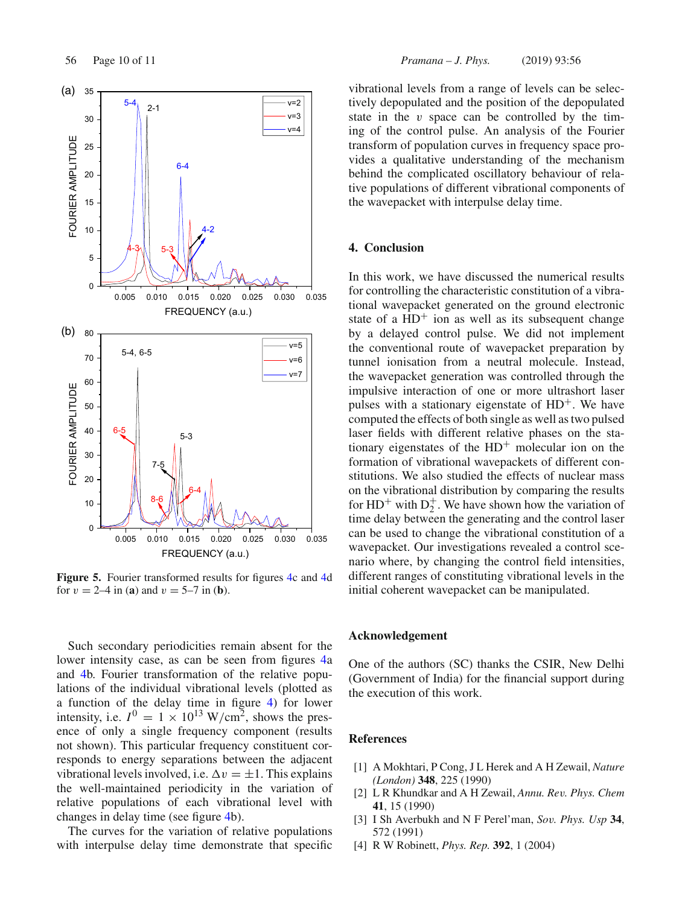

**Figure 5.** Fourier transformed results for figures 4c and 4d for  $v = 2-4$  in (**a**) and  $v = 5-7$  in (**b**).

Such secondary periodicities remain absent for the lower intensity case, as can be seen from figures 4a and 4b. Fourier transformation of the relative populations of the individual vibrational levels (plotted as a function of the delay time in figure 4) for lower intensity, i.e.  $I^0 = 1 \times 10^{13}$  W/cm<sup>2</sup>, shows the presence of only a single frequency component (results not shown). This particular frequency constituent corresponds to energy separations between the adjacent vibrational levels involved, i.e.  $\Delta v = \pm 1$ . This explains the well-maintained periodicity in the variation of relative populations of each vibrational level with changes in delay time (see figure 4b).

The curves for the variation of relative populations with interpulse delay time demonstrate that specific vibrational levels from a range of levels can be selectively depopulated and the position of the depopulated state in the  $v$  space can be controlled by the timing of the control pulse. An analysis of the Fourier transform of population curves in frequency space provides a qualitative understanding of the mechanism behind the complicated oscillatory behaviour of relative populations of different vibrational components of the wavepacket with interpulse delay time.

## **4. Conclusion**

In this work, we have discussed the numerical results for controlling the characteristic constitution of a vibrational wavepacket generated on the ground electronic state of a  $HD^+$  ion as well as its subsequent change by a delayed control pulse. We did not implement the conventional route of wavepacket preparation by tunnel ionisation from a neutral molecule. Instead, the wavepacket generation was controlled through the impulsive interaction of one or more ultrashort laser pulses with a stationary eigenstate of  $HD^+$ . We have computed the effects of both single as well as two pulsed laser fields with different relative phases on the stationary eigenstates of the  $HD^+$  molecular ion on the formation of vibrational wavepackets of different constitutions. We also studied the effects of nuclear mass on the vibrational distribution by comparing the results for  $HD^+$  with  $D_2^+$ . We have shown how the variation of time delay between the generating and the control laser can be used to change the vibrational constitution of a wavepacket. Our investigations revealed a control scenario where, by changing the control field intensities, different ranges of constituting vibrational levels in the initial coherent wavepacket can be manipulated.

## **Acknowledgement**

One of the authors (SC) thanks the CSIR, New Delhi (Government of India) for the financial support during the execution of this work.

## **References**

- [1] A Mokhtari, P Cong, J L Herek and A H Zewail, *Nature (London)* **348**, 225 (1990)
- [2] L R Khundkar and A H Zewail, *Annu. Rev. Phys. Chem* **41**, 15 (1990)
- [3] I Sh Averbukh and N F Perel'man, *Sov. Phys. Usp* **34**, 572 (1991)
- [4] R W Robinett, *Phys. Rep.* **392**, 1 (2004)